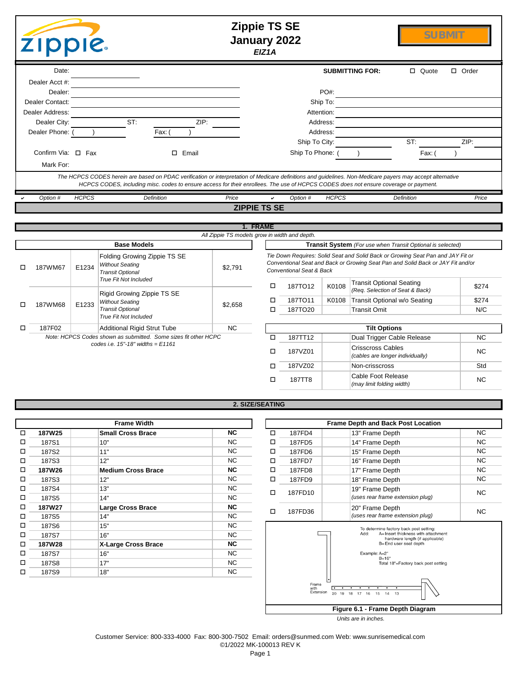|   | <b>ZIPPIE</b>      |              |                                                                                                                                                                                                                                                                                                    | <b>Zippie TS SE</b><br><b>January 2022</b>    | EIZ1A    |                                     |              |                                 | <b>SUBMIT</b>                                                                   |              |
|---|--------------------|--------------|----------------------------------------------------------------------------------------------------------------------------------------------------------------------------------------------------------------------------------------------------------------------------------------------------|-----------------------------------------------|----------|-------------------------------------|--------------|---------------------------------|---------------------------------------------------------------------------------|--------------|
|   | Date:              |              |                                                                                                                                                                                                                                                                                                    |                                               |          |                                     |              | <b>SUBMITTING FOR:</b>          | □ Quote                                                                         | $\Box$ Order |
|   | Dealer Acct #:     |              |                                                                                                                                                                                                                                                                                                    |                                               |          |                                     |              |                                 |                                                                                 |              |
|   | Dealer:            |              |                                                                                                                                                                                                                                                                                                    |                                               |          |                                     | PO#:         |                                 |                                                                                 |              |
|   | Dealer Contact:    |              |                                                                                                                                                                                                                                                                                                    |                                               |          |                                     | Ship To:     |                                 |                                                                                 |              |
|   | Dealer Address:    |              |                                                                                                                                                                                                                                                                                                    |                                               |          |                                     | Attention:   |                                 |                                                                                 |              |
|   | Dealer City:       |              | ST:                                                                                                                                                                                                                                                                                                | ZIP:                                          |          |                                     | Address:     |                                 |                                                                                 |              |
|   | Dealer Phone:      |              | Fax: (                                                                                                                                                                                                                                                                                             |                                               |          |                                     | Address:     |                                 |                                                                                 |              |
|   |                    |              |                                                                                                                                                                                                                                                                                                    |                                               |          | Ship To City:                       |              |                                 | ST:                                                                             | ZIP:         |
|   | Confirm Via: □ Fax |              | $\square$ Email                                                                                                                                                                                                                                                                                    |                                               |          | Ship To Phone: (                    |              |                                 | Fax: (                                                                          |              |
|   | Mark For:          |              |                                                                                                                                                                                                                                                                                                    |                                               |          |                                     |              |                                 |                                                                                 |              |
|   |                    |              | The HCPCS CODES herein are based on PDAC verification or interpretation of Medicare definitions and guidelines. Non-Medicare payers may accept alternative<br>HCPCS CODES, including misc. codes to ensure access for their enrollees. The use of HCPCS CODES does not ensure coverage or payment. |                                               |          |                                     |              |                                 |                                                                                 |              |
|   | Option #           | <b>HCPCS</b> | <b>Definition</b>                                                                                                                                                                                                                                                                                  | Price                                         |          | Option #                            | <b>HCPCS</b> |                                 | <b>Definition</b>                                                               | Price        |
|   |                    |              |                                                                                                                                                                                                                                                                                                    | <b>ZIPPIE TS SE</b>                           |          |                                     |              |                                 |                                                                                 |              |
|   |                    |              |                                                                                                                                                                                                                                                                                                    |                                               |          |                                     |              |                                 |                                                                                 |              |
|   |                    |              |                                                                                                                                                                                                                                                                                                    | All Zippie TS models grow in width and depth. | 1. FRAME |                                     |              |                                 |                                                                                 |              |
|   |                    |              | <b>Base Models</b>                                                                                                                                                                                                                                                                                 |                                               |          |                                     |              |                                 | Transit System (For use when Transit Optional is selected)                      |              |
|   |                    |              | Folding Growing Zippie TS SE                                                                                                                                                                                                                                                                       |                                               |          |                                     |              |                                 | Tie Down Requires: Solid Seat and Solid Back or Growing Seat Pan and JAY Fit or |              |
|   |                    |              | <b>Without Seating</b>                                                                                                                                                                                                                                                                             |                                               |          |                                     |              |                                 | Conventional Seat and Back or Growing Seat Pan and Solid Back or JAY Fit and/or |              |
| п | 187WM67            | E1234        | <b>Transit Optional</b>                                                                                                                                                                                                                                                                            | \$2,791                                       |          | <b>Conventional Seat &amp; Back</b> |              |                                 |                                                                                 |              |
|   |                    |              | <b>True Fit Not Included</b>                                                                                                                                                                                                                                                                       |                                               | □        | 187TO12                             | K0108        | <b>Transit Optional Seating</b> |                                                                                 | \$274        |
|   |                    |              | Rigid Growing Zippie TS SE                                                                                                                                                                                                                                                                         |                                               |          |                                     |              | (Req. Selection of Seat & Back) |                                                                                 |              |
| □ | 187WM68            | E1233        | <b>Without Seating</b>                                                                                                                                                                                                                                                                             | \$2.658                                       | □        | 187TO11                             | K0108        | Transit Optional w/o Seating    |                                                                                 | \$274        |

## **2. SIZE/SEATING**

187F02 Additional Rigid Strut Tube NC **Tilt Options**

 $\Box$ 

o

o

| <b>Frame Width</b> |        |                           |           |  |  |  |  |  |  |
|--------------------|--------|---------------------------|-----------|--|--|--|--|--|--|
| □                  | 187W25 | <b>Small Cross Brace</b>  | <b>NC</b> |  |  |  |  |  |  |
| □                  | 187S1  | 10"                       | <b>NC</b> |  |  |  |  |  |  |
| ◻                  | 187S2  | 11"                       | <b>NC</b> |  |  |  |  |  |  |
| п                  | 187S3  | 12"                       | <b>NC</b> |  |  |  |  |  |  |
| п                  | 187W26 | <b>Medium Cross Brace</b> | <b>NC</b> |  |  |  |  |  |  |
| п                  | 187S3  | 12"                       | NC.       |  |  |  |  |  |  |
| п                  | 187S4  | 13"                       | <b>NC</b> |  |  |  |  |  |  |
| п                  | 187S5  | 14"                       | <b>NC</b> |  |  |  |  |  |  |
| п                  | 187W27 | <b>Large Cross Brace</b>  | <b>NC</b> |  |  |  |  |  |  |
| п                  | 187S5  | 14"                       | <b>NC</b> |  |  |  |  |  |  |
| □                  | 187S6  | 15"                       | <b>NC</b> |  |  |  |  |  |  |
| п                  | 187S7  | 16"                       | <b>NC</b> |  |  |  |  |  |  |
| п                  | 187W28 | X-Large Cross Brace       | <b>NC</b> |  |  |  |  |  |  |
| □                  | 187S7  | 16"                       | NC.       |  |  |  |  |  |  |
| п                  | 187S8  | 17"                       | <b>NC</b> |  |  |  |  |  |  |
| п                  | 187S9  | 18"                       | NC.       |  |  |  |  |  |  |

*Transit Optional True Fit Not Included*

*Note: HCPCS Codes shown as submitted. Some sizes fit other HCPC codes i.e. 15"-18" widths = E1161*

 $\Box$ 

|        | <b>Frame Width</b>        |           |   |                            | <b>Frame Depth and Back Post Location</b>                                     |           |
|--------|---------------------------|-----------|---|----------------------------|-------------------------------------------------------------------------------|-----------|
| 187W25 | <b>Small Cross Brace</b>  | <b>NC</b> | □ | 187FD4                     | 13" Frame Depth                                                               | NC.       |
| 187S1  | 10"                       | NC.       | □ | 187FD5                     | 14" Frame Depth                                                               | NC.       |
| 187S2  | 11"                       | NC.       | □ | 187FD6                     | 15" Frame Depth                                                               | NC.       |
| 187S3  | 12"                       | NC.       | □ | 187FD7                     | 16" Frame Depth                                                               | NC.       |
| 187W26 | <b>Medium Cross Brace</b> | NC.       | □ | 187FD8                     | 17" Frame Depth                                                               | NC.       |
| 187S3  | 12"                       | NC        | □ | 187FD9                     | 18" Frame Depth                                                               | NC.       |
| 187S4  | 13"                       | NC        | □ | 187FD10                    | 19" Frame Depth                                                               | <b>NC</b> |
| 187S5  | 14"                       | NC.       |   |                            | (uses rear frame extension plug)                                              |           |
| 187W27 | <b>Large Cross Brace</b>  | <b>NC</b> | □ | 187FD36                    | 20" Frame Depth                                                               | <b>NC</b> |
| 187S5  | 14"                       | NC        |   |                            | (uses rear frame extension plug)                                              |           |
| 187S6  | 15"                       | NC        |   |                            | To determine factory back post setting:                                       |           |
| 187S7  | 16"                       | NC        |   |                            | A=Insert thickness with attachment<br>Add:<br>hardware length (if applicable) |           |
| 187W28 | X-Large Cross Brace       | <b>NC</b> |   |                            | B=End user seat depth                                                         |           |
| 187S7  | 16"                       | NC        |   |                            | Example: A=2"<br>$B = 16"$                                                    |           |
| 187S8  | 17"                       | NC        |   |                            | Total 18"=Factory back post setting                                           |           |
| 187S9  | 18"                       | <b>NC</b> |   |                            |                                                                               |           |
|        |                           |           |   | Frame<br>with<br>Extension | 20 19 18 17 16 15 14 13                                                       |           |
|        |                           |           |   |                            | Figure 6.1 - Frame Depth Diagram                                              |           |

187TO20 Transit Omit N/C

187TT12 Dual Trigger Cable Release NC

187VZ02 Non-crisscross Std

*(cables are longer individually)* NC

*(may limit folding width)* NC

<sup>o</sup> 187VZ01 Crisscross Cables

<sup>o</sup> 187TT8 Cable Foot Release

*Units are in inches.*

Customer Service: 800-333-4000 Fax: 800-300-7502 Email: orders@sunmed.com Web: www.sunrisemedical.com ©1/2022 MK-100013 REV K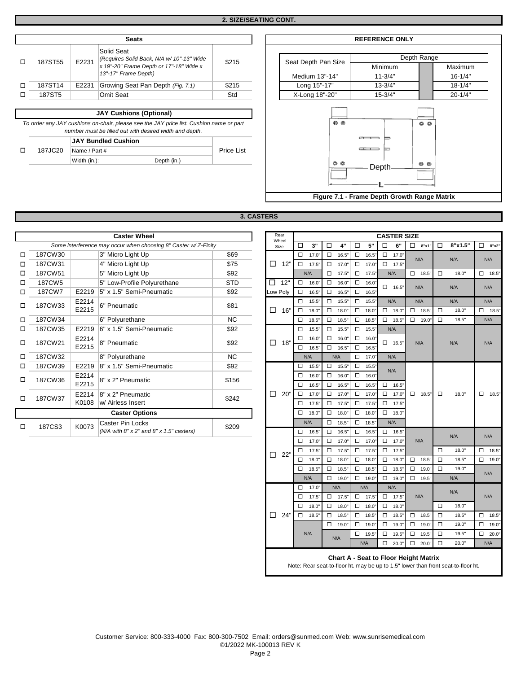|        |                                |       | <b>Seats</b>                                            |       |  |  |                     | <b>REFERENCE ONLY</b> |  |             |  |
|--------|--------------------------------|-------|---------------------------------------------------------|-------|--|--|---------------------|-----------------------|--|-------------|--|
| □      | 187ST55                        | E2231 | Solid Seat<br>(Requires Solid Back, N/A w/ 10"-13" Wide | \$215 |  |  | Seat Depth Pan Size | Depth Range           |  |             |  |
|        |                                |       | x 19"-20" Frame Depth or 17"-18" Wide x                 |       |  |  |                     | <b>Minimum</b>        |  | Maximur     |  |
|        |                                |       | 13"-17" Frame Depth)                                    |       |  |  | Medium 13"-14"      | $11 - 3/4"$           |  | $16 - 1/4"$ |  |
| $\Box$ | 187ST14                        | E2231 | Growing Seat Pan Depth (Fig. 7.1)                       | \$215 |  |  | Long 15"-17"        | $13 - 3/4"$           |  | $18 - 1/4"$ |  |
| □      | 187ST5                         |       | <b>Omit Seat</b>                                        | Std   |  |  | X-Long 18"-20"      | $15 - 3/4"$           |  | $20 - 1/4"$ |  |
|        |                                |       |                                                         |       |  |  |                     |                       |  |             |  |
|        | <b>JAY Cushions (Optional)</b> |       |                                                         |       |  |  |                     |                       |  |             |  |

*To order any JAY cushions on-chair, please see the JAY price list. Cushion name or part number must be filled out with desired width and depth.*

## **JAY Bundled Cushion**

o 187JC20

Name / Part # Price List Width (in.): Depth (in.):

Depth Range Seat Depth Pan Size Minimum **Maximum** Medium 13"-14" 11-3/4" 16-1/4" Long 15"-17" 13-3/4" 18-1/4"  $\circ$  $00$  $\overline{C}$  $=$  $\equiv$  $\equiv$  $@$  $^{\circ}$ Depth ۰L **Figure 7.1 - Frame Depth Growth Range Matrix**

| <b>8. CASTERS</b> |  |
|-------------------|--|
|-------------------|--|

|   | <b>Caster Wheel</b> |       |                                                                |            | Rear              |        |            |        |            |        |       | <b>CASTER SIZE</b> |                 |        |         |             |
|---|---------------------|-------|----------------------------------------------------------------|------------|-------------------|--------|------------|--------|------------|--------|-------|--------------------|-----------------|--------|---------|-------------|
|   |                     |       | Some interference may occur when choosing 8" Caster w/Z-Finity |            | Wheel<br>Size     | $\Box$ | 3"         | □      |            | □      | 5"    | □<br>6"            | $\Box$<br>8"x1" | □      | 8"x1.5" | $\Box$<br>8 |
| □ | 187CW30             |       | 3" Micro Light Up                                              | \$69       |                   | $\Box$ | 17.0"      | $\Box$ | 16.5"      | $\Box$ | 16.5" | $\Box$<br>17.0"    |                 |        |         |             |
| □ | 187CW31             |       | 4" Micro Light Up                                              | \$75       | □<br>12'          | $\Box$ | 17.5"      | $\Box$ | 17.0       | $\Box$ | 17.0" | $\Box$<br>17.5"    | N/A             |        | N/A     | N/A         |
| □ | 187CW51             |       | 5" Micro Light Up                                              | \$92       |                   |        | N/A        | □      | 17.5"      | $\Box$ | 17.5" | N/A                | $\Box$<br>18.5" | $\Box$ | 18.0"   | $\Box$ 1    |
| ◻ | 187CW5              |       | 5" Low-Profile Polyurethane                                    | <b>STD</b> | □<br>12"          | □      | 16.0"      | $\Box$ | 16.0"      | $\Box$ | 16.0" | $\Box$<br>16.5"    | N/A             |        | N/A     | N/A         |
| п | 187CW7              | E2219 | 5" x 1.5" Semi-Pneumatic                                       | \$92       | Low Poly          | $\Box$ | 16.5"      | $\Box$ | 16.5"      | $\Box$ | 16.5" |                    |                 |        |         |             |
| □ | 187CW33             | E2214 | 6" Pneumatic                                                   | \$81       |                   | $\Box$ | 15.5"      | $\Box$ | 15.5"      | $\Box$ | 15.5" | N/A                | N/A             |        | N/A     | N/A         |
|   |                     | E2215 |                                                                |            | □<br>16"          | □      | 18.0"      | $\Box$ | 18.0"      | $\Box$ | 18.0" | $\Box$ 18.0"       | $\Box$<br>18.5" | $\Box$ | 18.0"   | $\Box$ 1    |
| п | 187CW34             |       | 6" Polyurethane                                                | NC.        |                   | □      | 18.5"      | $\Box$ | 18.5"      | $\Box$ | 18.5" | $\Box$<br>18.5"    | $\Box$<br>19.0" | $\Box$ | 18.5"   | N/A         |
| □ | 187CW35             | E2219 | 6" x 1.5" Semi-Pneumatic                                       | \$92       |                   | $\Box$ | 15.5"      | $\Box$ | 15.5"      | $\Box$ | 15.5" | N/A                |                 |        |         |             |
| □ | 187CW21             | E2214 | 8" Pneumatic                                                   | \$92       | 18"<br>□          | $\Box$ | 16.0"      | $\Box$ | 16.0"      | $\Box$ | 16.0" | $\Box$ 16.5"       | N/A             |        | N/A     | N/A         |
|   |                     | E2215 |                                                                |            |                   |        | 16.5"      | $\Box$ | 16.5"      | $\Box$ | 16.5" |                    |                 |        |         |             |
| п | 187CW32             |       | 8" Polyurethane                                                | NC.        |                   |        | N/A<br>N/A |        | □<br>17.0" |        | N/A   |                    |                 |        |         |             |
| □ | 187CW39             | E2219 | 8" x 1.5" Semi-Pneumatic                                       | \$92       |                   | $\Box$ | 15.5"      | $\Box$ | 15.5"      | $\Box$ | 15.5" | N/A                |                 |        |         |             |
| □ | 187CW36             | E2214 | 8" x 2" Pneumatic                                              | \$156      |                   | П      | 16.0"      | $\Box$ | 16.0"      | $\Box$ | 16.0" |                    |                 |        |         |             |
|   |                     | E2215 |                                                                |            |                   | □      | 16.5"      | $\Box$ | 16.5"      | $\Box$ | 16.5" | $\Box$<br>16.5"    |                 |        |         |             |
| □ | 187CW37             | E2214 | 8" x 2" Pneumatic                                              | \$242      | $20^{\circ}$<br>□ | $\Box$ | 17.0"      | $\Box$ | 17.0"      | $\Box$ | 17.0" | $\Box$<br>17.0'    | $\Box$<br>18.5" | $\Box$ | 18.0"   | $\Box$ 1    |
|   |                     | K0108 | w/ Airless Insert                                              |            |                   | □      | 17.5"      | $\Box$ | 17.5"      | $\Box$ | 17.5" | $\Box$ 17.5"       |                 |        |         |             |
|   |                     |       | <b>Caster Options</b>                                          |            |                   | $\Box$ | 18.0"      | $\Box$ | 18.0"      | $\Box$ | 18.0" | $\Box$ 18.0"       |                 |        |         |             |
| □ | 187CS3              | K0073 | Caster Pin Locks                                               | \$209      |                   |        | N/A        | □      | 18.5"      | $\Box$ | 18.5" | N/A                |                 |        |         |             |
|   |                     |       | (N/A with $8" \times 2"$ and $8" \times 1.5"$ casters)         |            |                   | □      | 16.5"      | $\Box$ | 16.5"      | $\Box$ | 16.5" | $\Box$<br>16.5"    |                 |        |         |             |

|   | <b>Caster Wheel</b> |                |                                                                |            |        | Rear<br><b>CASTER SIZE</b><br>Wheel |                  |                |        |                                 |                  |                |             |                    |                     |              |              |                     |                 |
|---|---------------------|----------------|----------------------------------------------------------------|------------|--------|-------------------------------------|------------------|----------------|--------|---------------------------------|------------------|----------------|-------------|--------------------|---------------------|--------------|--------------|---------------------|-----------------|
|   |                     |                | Some interference may occur when choosing 8" Caster w/Z-Finity |            |        | Size                                | □                | 3"             | $\Box$ | 4"                              | $\Box$           | 5"             | $\Box$      | 6"                 | $\Box$ 8"x1"        | $\Box$       | 8"x1.5"      | $\Box$ 8"x2"        |                 |
| □ | 187CW30             |                | 3" Micro Light Up                                              | \$69       |        |                                     | $\Box$           | 17.0"          |        | $\square$ 16.5"                 | $\Box$           | $16.5^{\circ}$ | $\Box$      | 17.0"              |                     |              |              |                     |                 |
| □ | 187CW31             |                | 4" Micro Light Up                                              | \$75       | $\Box$ | 12"                                 | $\Box$           | 17.5"          |        | $\Box$ 17.0                     | $\Box$           | 17.0'          |             | $\Box$ 17.5"       | N/A                 |              | N/A          | N/A                 |                 |
| □ | 187CW51             |                | 5" Micro Light Up                                              | \$92       |        |                                     |                  | N/A            |        | $\Box$ 17.5'                    | $\Box$           | 17.5"          |             | N/A                | $\Box$ 18.5"        | $\Box$       | 18.0"        | $\Box$ 18.5"        |                 |
| □ | 187CW5              |                | 5" Low-Profile Polyurethane                                    | <b>STD</b> | П.     | 12"                                 | $\Box$           | 16.0"          |        | $\Box$ 16.0                     | $\Box$           | 16.0           |             |                    |                     |              |              |                     |                 |
| □ | 187CW7              |                | E2219 $ 5" \times 1.5"$ Semi-Pneumatic                         | \$92       |        | Low Poly                            | $\Box$           | 16.5'          |        | $\square$ 16.5"                 | $\Box$           | $16.5^{\circ}$ |             | $\Box$ 16.5"       | N/A                 |              | N/A          | N/A                 |                 |
| П | 187CW33             | E2214<br>E2215 | 6" Pneumatic                                                   | \$81       | $\Box$ | 16"                                 | □<br>$\Box$      | 15.5"<br>18.0" |        | $\square$ 15.5"<br>$\Box$ 18.0" | $\Box$<br>$\Box$ | 15.5"<br>18.0  |             | N/A<br>$\Box$ 18.0 | N/A<br>$\Box$ 18.5" | $\Box$       | N/A<br>18.0" | N/A<br>$\Box$ 18.5" |                 |
| □ | 187CW34             |                | 6" Polyurethane                                                | <b>NC</b>  |        |                                     | $\Box$           | 18.5"          | $\Box$ | 18.5"                           | $\Box$           | $18.5^{\circ}$ |             | $\Box$ 18.5'       | $\Box$ 19.0"        | $\Box$       | 18.5"        | N/A                 |                 |
| □ | 187CW35             | E2219          | 6" x 1.5" Semi-Pneumatic                                       | \$92       |        |                                     | $\Box$           | 15.5"          |        | $\square$ 15.5"                 | $\Box$           | $15.5^{\circ}$ |             | N/A                |                     |              |              |                     |                 |
|   |                     | E2214          |                                                                |            |        |                                     | □                | 16.0"          |        | $\Box$ 16.0"                    | $\Box$           | 16.0           |             |                    |                     |              |              |                     |                 |
| □ | 187CW21             | E2215          | 8" Pneumatic                                                   | \$92       | $\Box$ | 18"                                 | $\Box$           | 16.5"          |        | $\Box$ 16.5"                    | $\Box$           | $16.5^{\circ}$ |             | $\Box$ 16.5"       | N/A                 |              | N/A          | N/A                 |                 |
| □ | 187CW32             |                | 8" Polyurethane                                                | <b>NC</b>  |        |                                     |                  | N/A            |        | N/A                             | $\Box$           | 17.0           |             | N/A                |                     |              |              |                     |                 |
| □ | 187CW39             |                | E2219 8" x 1.5" Semi-Pneumatic                                 | \$92       |        |                                     | □                | 15.5"          |        | $\Box$ 15.5'                    | $\Box$           | 15.5"          |             | N/A                |                     |              |              |                     |                 |
| □ | 187CW36             | E2214<br>E2215 | 8" x 2" Pneumatic                                              | \$156      |        |                                     | $\Box$<br>$\Box$ | 16.0"<br>16.5" |        | $\Box$ 16.0'<br>$\square$ 16.5" | $\Box$<br>$\Box$ | 16.0"<br>16.5' | $\Box$      | 16.5'              |                     |              |              |                     |                 |
|   |                     | E2214          | 8" x 2" Pneumatic                                              |            | □      | 20"                                 | $\Box$           | 17.0'          |        | $\Box$ 17.0'                    | $\Box$           | 17.0           | $\Box$      | 17.0"              | $\Box$ 18.5"        | $\Box$       | 18.0"        | 18.5"<br>□          |                 |
| □ | 187CW37             |                | K0108  w/ Airless Insert                                       | \$242      |        |                                     | □                | 17.5"          |        | $\square$ 17.5'                 | $\Box$           | $17.5^{\circ}$ |             | $\Box$ 17.5"       |                     |              |              |                     |                 |
|   |                     |                | <b>Caster Options</b>                                          |            |        |                                     | □                | 18.0'          |        | $\Box$ 18.0"                    | $\Box$           | 18.0           |             | $\Box$ 18.0"       |                     |              |              |                     |                 |
|   |                     |                | Caster Pin Locks                                               |            |        |                                     |                  | N/A            |        | $\Box$ 18.5"                    | $\Box$           | $18.5^{\circ}$ |             | N/A                |                     |              |              |                     |                 |
| П | 187CS3              | K0073          | $(N/A$ with $8" \times 2"$ and $8" \times 1.5"$ casters)       | \$209      |        |                                     | $\Box$           | 16.5"          |        | $\square$ 16.5"                 | $\Box$           | 16.5"          |             | $\Box$ 16.5"       |                     |              |              |                     |                 |
|   |                     |                |                                                                |            |        |                                     | □                | 17.0"          |        | $\Box$ 17.0                     | $\Box$           | 17.0           | $\Box$      | 17.0"              | N/A                 |              | N/A          | N/A                 |                 |
|   |                     |                |                                                                |            | □      | 22'                                 | $\Box$           | 17.5"          |        | $\Box$ 17.5"                    | $\Box$           | 17.5           | $\Box$      | 17.5"              |                     | $\Box$       | 18.0"        | $\Box$<br>18.5"     |                 |
|   |                     |                |                                                                |            |        |                                     | □                | 18.0"          |        | $\Box$ 18.0"                    | $\Box$           | 18.0           | $\Box$      | 18.0'              | $\Box$ 18.5"        | $\Box$       | 18.5"        | □<br>19.0"          |                 |
|   |                     |                |                                                                |            |        |                                     | □                | 18.5"          |        | $\Box$ 18.5"                    |                  | $\Box$ 18.5"   | $\Box$      | 18.5"              | $\Box$ 19.0"        | $\Box$       | 19.0"        | N/A                 |                 |
|   |                     |                |                                                                |            |        |                                     |                  | N/A            |        | $\Box$ 19.0"                    |                  | $\Box$ 19.0    | $\Box$      | 19.0               | $\Box$ 19.5"        |              | N/A          |                     |                 |
|   |                     |                |                                                                |            |        |                                     | □                | 17.0"          |        | N/A                             |                  | N/A            |             | N/A                |                     |              | N/A          |                     |                 |
|   |                     |                |                                                                |            |        |                                     |                  | 17.5'          |        | $\Box$ 17.5"                    |                  | $\Box$ 17.5    |             | $\Box$ 17.5"       | N/A                 |              |              | N/A                 |                 |
|   |                     |                |                                                                |            |        |                                     | $\Box$           | 18.0'          |        | $\Box$ 18.0"                    | $\Box$           | 18.0           | $\Box$      | 18.0"              |                     | $\Box$       | 18.0"        |                     |                 |
|   |                     |                |                                                                |            | $\Box$ | 24'                                 | $\Box$           | 18.5"          |        | $\Box$ 18.5"                    | $\Box$           | $18.5^{\circ}$ | $\Box$      | 18.5'              | $\Box$ 18.5"        | $\Box$       | 18.5"        | $\Box$ 18.5"        |                 |
|   |                     |                |                                                                |            |        |                                     |                  |                |        | $\Box$ 19.0"                    | $\Box$           | 19.0           | $\Box$      | 19.0'              | $\Box$ 19.0"        | $\Box$       | 19.0"        | 19.0"<br>□          |                 |
|   |                     |                |                                                                |            |        |                                     |                  |                | N/A    |                                 | N/A              |                | $\Box$ 19.5 | $\Box$             | 19.5'               | $\Box$ 19.5" | $\Box$       | 19.5"               | $\Box$<br>20.0" |
|   |                     |                |                                                                |            |        |                                     |                  |                |        |                                 | N/A              | □              | 20.0        | $\Box$ 20.0"       | $\Box$              | 20.0"        | N/A          |                     |                 |
|   |                     |                |                                                                |            |        |                                     |                  |                |        |                                 |                  |                |             |                    |                     |              |              |                     |                 |

## **Chart A - Seat to Floor Height Matrix**

Note: Rear seat-to-floor ht. may be up to 1.5" lower than front seat-to-floor ht.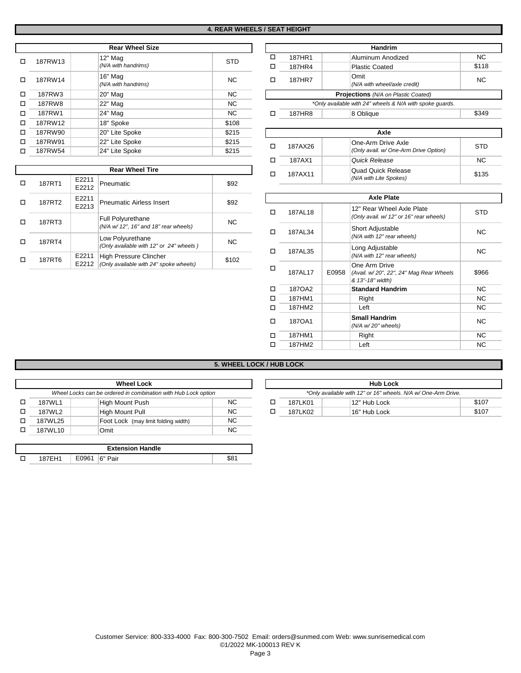|   |         | <b>Rear Wheel Size</b>         |            |                                            |           | <b>Handrim</b>                                           |                   |  |  |
|---|---------|--------------------------------|------------|--------------------------------------------|-----------|----------------------------------------------------------|-------------------|--|--|
| □ | 187RW13 | 12" Mag                        | <b>STD</b> | □                                          | 187HR1    | Aluminum Anodized                                        | NC.               |  |  |
|   |         | (N/A with handrims)            |            | □                                          | 187HR4    | <b>Plastic Coated</b>                                    | \$118             |  |  |
| □ | 187RW14 | 16" Mag<br>(N/A with handrims) | <b>NC</b>  | □                                          | 187HR7    | Omit<br>(N/A with wheel/axle credit)                     | NC.               |  |  |
| □ | 187RW3  | 20" Mag                        | <b>NC</b>  | <b>Projections</b> (N/A on Plastic Coated) |           |                                                          |                   |  |  |
| □ | 187RW8  | 22" Mag                        | NC.        |                                            |           | *Only available with 24" wheels & N/A with spoke quards. |                   |  |  |
| □ | 187RW1  | 24" Mag                        | NC.        | □                                          | 187HR8    | 8 Oblique                                                | \$349             |  |  |
| □ | 187RW12 | 18" Spoke                      | \$108      |                                            |           |                                                          |                   |  |  |
| □ | 187RW90 | 20" Lite Spoke                 | \$215      |                                            |           | Axle                                                     |                   |  |  |
| □ | 187RW91 | 22" Lite Spoke                 | \$215      | □                                          |           | One-Arm Drive Axle                                       | <b>STD</b>        |  |  |
| □ | 187RW54 | 24" Lite Spoke                 | \$215      |                                            | 187AX26   | (Only avail. w/ One-Arm Drive Option)                    |                   |  |  |
|   |         |                                |            | Ы                                          | 197 A Y 1 | Quick Pologeo                                            | $\mathsf{N} \cap$ |  |  |

**Rear Wheel Tire** 

Pneumatic \$92

**Pneumatic Airless Insert**   $\begin{array}{|c|c|} 392 & \text{ }} \end{array}$ 

*(N/A w/ 12", 16" and 18" rear wheels)* NC

*(Only available with 12" or 24" wheels )* NC

High Pressure Clincher *(Only available with 24" spoke wheels)* \$102

D 187RT1 E2211

 $\Box$  187RT2  $\begin{array}{|c|c|} \hline \text{E2211} \\ \text{E2213} \end{array}$ 

<sup>o</sup> 187RT6 E2211 E2212

<sup>o</sup> 187RT3 Full Polyurethane

□ 187RT4 Low Polyurethane

| <b>Rear Wheel Size</b>         |            |                                                          | <b>Handrim</b> |                                      |           |  |  |  |  |  |  |
|--------------------------------|------------|----------------------------------------------------------|----------------|--------------------------------------|-----------|--|--|--|--|--|--|
| 12" Mag                        | <b>STD</b> |                                                          | 187HR1         | Aluminum Anodized                    | <b>NC</b> |  |  |  |  |  |  |
| (N/A with handrims)            |            | □                                                        | 187HR4         | <b>Plastic Coated</b>                | \$118     |  |  |  |  |  |  |
| 16" Mag<br>(N/A with handrims) | NC.        | п                                                        | 187HR7         | Omit<br>(N/A with wheel/axle credit) | <b>NC</b> |  |  |  |  |  |  |
| 20" Mag                        | NC.        | <b>Projections</b> (N/A on Plastic Coated)               |                |                                      |           |  |  |  |  |  |  |
| 22" Mag                        | <b>NC</b>  | *Only available with 24" wheels & N/A with spoke quards. |                |                                      |           |  |  |  |  |  |  |
| 24" Mag                        | NC.        |                                                          | 187HR8         | A Obligue                            | \$349     |  |  |  |  |  |  |

| Axle    |                                                             |       |  |  |  |  |  |  |
|---------|-------------------------------------------------------------|-------|--|--|--|--|--|--|
| 187AX26 | One-Arm Drive Axle<br>(Only avail. w/ One-Arm Drive Option) | STD   |  |  |  |  |  |  |
| 187AX1  | Quick Release                                               | NC.   |  |  |  |  |  |  |
| 187AX11 | <b>Quad Quick Release</b><br>(N/A with Lite Spokes)         | \$135 |  |  |  |  |  |  |

|   |          |       | <b>Axle Plate</b>                                                            |           |
|---|----------|-------|------------------------------------------------------------------------------|-----------|
| п | 187AL18  |       | 12" Rear Wheel Axle Plate<br>(Only avail. w/ 12" or 16" rear wheels)         | STD       |
| п | 187AL34  |       | Short Adjustable<br>(N/A with 12" rear wheels)                               | <b>NC</b> |
| п | 187AL35  |       | Long Adjustable<br>(N/A with 12" rear wheels)                                | <b>NC</b> |
| □ | 187AI 17 | E0958 | One Arm Drive<br>(Avail. w/20", 22", 24" Mag Rear Wheels<br>& 13"-18" width) | \$966     |
| п | 1870A2   |       | <b>Standard Handrim</b>                                                      | <b>NC</b> |
| п | 187HM1   |       | Right                                                                        | <b>NC</b> |
| п | 187HM2   |       | Left                                                                         | <b>NC</b> |
| п | 1870A1   |       | <b>Small Handrim</b><br>(N/A w/20" wheels)                                   | <b>NC</b> |
| п | 187HM1   |       | Right                                                                        | <b>NC</b> |
|   | 187HM2   |       | Left                                                                         | <b>NC</b> |
|   |          |       |                                                                              |           |

## **5. WHEEL LOCK / HUB LOCK**

|                                                                | <b>Wheel Lock</b>                   |     |  |  |                                                               | <b>Hub Lock</b> |
|----------------------------------------------------------------|-------------------------------------|-----|--|--|---------------------------------------------------------------|-----------------|
| Wheel Locks can be ordered in combination with Hub Lock option |                                     |     |  |  | *Only available with 12" or 16" wheels. N/A w/ One-Arm Drive. |                 |
| 187WL1                                                         | High Mount Push                     | NC. |  |  | 187LK01                                                       | 12" Hub Lock    |
| 187WL2                                                         | High Mount Pull                     | NC. |  |  | 187LK02                                                       | 16" Hub Lock    |
| 187WL25                                                        | Foot Lock (may limit folding width) | NC. |  |  |                                                               |                 |
| 187WL10                                                        | Omit                                | NC. |  |  |                                                               |                 |
|                                                                |                                     |     |  |  |                                                               |                 |
|                                                                | Forten above them die               |     |  |  |                                                               |                 |

| <b>Extension Handle</b> |  |       |             |     |  |  |
|-------------------------|--|-------|-------------|-----|--|--|
|                         |  | E0961 | ⊩6"<br>Pair | 88٬ |  |  |

| <b>Hub Lock</b>                                               |              |       |  |  |  |  |  |  |
|---------------------------------------------------------------|--------------|-------|--|--|--|--|--|--|
| *Only available with 12" or 16" wheels. N/A w/ One-Arm Drive. |              |       |  |  |  |  |  |  |
| 187LK01                                                       | 12" Hub Lock | \$107 |  |  |  |  |  |  |
| 187LK02                                                       | 16" Hub Lock | \$107 |  |  |  |  |  |  |
|                                                               |              |       |  |  |  |  |  |  |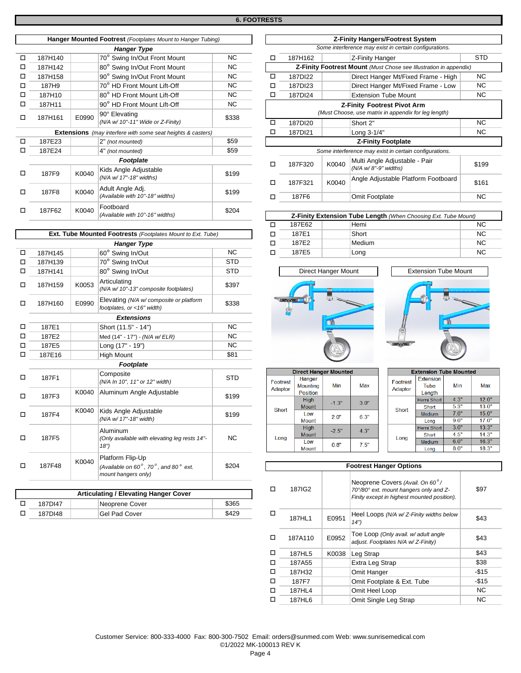|                          | Hanger Mounted Footrest (Footplates Mount to Hanger Tubing)        |                              |                                   |           |   | <b>Z-Finity Hangers/Footrest System</b>                |       |                                                                   |  |
|--------------------------|--------------------------------------------------------------------|------------------------------|-----------------------------------|-----------|---|--------------------------------------------------------|-------|-------------------------------------------------------------------|--|
|                          |                                                                    |                              | <b>Hanger Type</b>                |           |   | Some interference may exist in certain configurations. |       |                                                                   |  |
| □                        | 187H140                                                            |                              | 70° Swing In/Out Front Mount      | <b>NC</b> | □ | 187H162                                                |       | Z-Finity Hanger                                                   |  |
| □                        | 187H142                                                            |                              | 80° Swing In/Out Front Mount      | <b>NC</b> |   |                                                        |       | Z-Finity Footrest Mount (Must Chose see Illustration in appendix) |  |
| □                        | 187H158                                                            |                              | 90° Swing In/Out Front Mount      | <b>NC</b> | □ | 187DI22                                                |       | Direct Hanger Mt/Fixed Frame - High                               |  |
| □                        | 187H9                                                              |                              | 70° HD Front Mount Lift-Off       | <b>NC</b> | □ | 187DI23                                                |       | Direct Hanger Mt/Fixed Frame - Low                                |  |
| □                        | 187H10                                                             |                              | 80° HD Front Mount Lift-Off       | <b>NC</b> | □ | 187DI24                                                |       | <b>Extension Tube Mount</b>                                       |  |
| □                        | 187H11                                                             |                              | 90° HD Front Mount Lift-Off       | <b>NC</b> |   |                                                        |       | <b>Z-Finity Footrest Pivot Arm</b>                                |  |
|                          | 187H161                                                            | E0990                        | 90° Elevating                     |           |   |                                                        |       | (Must Choose, use matrix in appendix for leg length)              |  |
| □                        |                                                                    |                              | (N/A w/ 10"-11" Wide or Z-Finity) | \$338     | □ | 187DI20                                                |       | Short 2"                                                          |  |
|                          | <b>Extensions</b> (may interfere with some seat heights & casters) |                              |                                   |           | □ | 187DI21                                                |       | Long 3-1/4"                                                       |  |
| □                        | 187E23                                                             |                              | 2" (not mounted)                  | \$59      |   |                                                        |       | <b>Z-Finity Footplate</b>                                         |  |
|                          | 187E24                                                             |                              | 4" (not mounted)                  | \$59      |   |                                                        |       | Some interference may exist in certain configurations.            |  |
|                          |                                                                    |                              | <b>Footplate</b>                  |           |   | 187F320                                                | K0040 | Multi Angle Adjustable - Pair                                     |  |
|                          | 187F9                                                              | K0040                        | Kids Angle Adjustable             |           | □ |                                                        |       | (N/A w/8"-9" widths)                                              |  |
|                          |                                                                    |                              | (N/A w/ 17"-18" widths)           | \$199     |   | 187F321                                                | K0040 | Angle Adjustable Platform Footboard                               |  |
|                          |                                                                    |                              | Adult Angle Adj.                  |           | □ |                                                        |       |                                                                   |  |
|                          | 187F8                                                              | K0040                        | (Available with 10"-18" widths)   | \$199     | □ | 187F6                                                  |       | Omit Footplate                                                    |  |
|                          |                                                                    | Footboard<br>K0040<br>187F62 |                                   |           |   |                                                        |       |                                                                   |  |
| $\overline{\phantom{a}}$ |                                                                    |                              | (Available with 10"-16" widths)   | \$204     |   |                                                        |       | Z-Finity Extension Tube Length (When Choosing Ext. Tube Mour      |  |
|                          |                                                                    |                              |                                   |           |   | $- - - - -$                                            |       |                                                                   |  |

|   | Ext. Tube Mounted Footrests (Footplates Mount to Ext. Tube) |       |                                                                                                          |            |                |  |  |  |  |
|---|-------------------------------------------------------------|-------|----------------------------------------------------------------------------------------------------------|------------|----------------|--|--|--|--|
|   |                                                             |       | <b>Hanger Type</b>                                                                                       |            | □              |  |  |  |  |
|   | 187H145                                                     |       | 60° Swing In/Out                                                                                         | NC.        | □              |  |  |  |  |
| □ | 187H139                                                     |       | 70° Swing In/Out                                                                                         | <b>STD</b> |                |  |  |  |  |
| ◻ | 187H141                                                     |       | 80° Swing In/Out                                                                                         | <b>STD</b> |                |  |  |  |  |
| □ | 187H159                                                     | K0053 | Articulating<br>(N/A w/ 10"-13" composite footplates)                                                    | \$397      |                |  |  |  |  |
| □ | 187H160                                                     | E0990 | Elevating (N/A w/composite or platform<br>footplates, or <16" width)                                     | \$338      |                |  |  |  |  |
|   |                                                             |       | <b>Extensions</b>                                                                                        |            |                |  |  |  |  |
| □ | 187E1                                                       |       | Short (11.5" - 14")                                                                                      | <b>NC</b>  |                |  |  |  |  |
| п | 187E2                                                       |       | Med (14" - 17") - (N/A w/ ELR)                                                                           | <b>NC</b>  |                |  |  |  |  |
| п | 187E5                                                       |       | Long (17" - 19")                                                                                         | NC.        |                |  |  |  |  |
| ◻ | 187E16                                                      |       | <b>High Mount</b>                                                                                        | \$81       |                |  |  |  |  |
|   |                                                             |       | Footplate                                                                                                |            |                |  |  |  |  |
| □ | 187F1                                                       |       | Composite<br>(N/A In 10", 11" or 12" width)                                                              | <b>STD</b> | F <sub>0</sub> |  |  |  |  |
| п | 187F3                                                       | K0040 | Aluminum Angle Adjustable                                                                                | \$199      | A              |  |  |  |  |
| ◻ | 187F4                                                       | K0040 | Kids Angle Adjustable<br>(N/A w/ 17"-18" width)                                                          | \$199      |                |  |  |  |  |
| п | 187F5                                                       |       | Aluminum<br>(Only available with elevating leg rests 14"-<br>18")                                        | <b>NC</b>  |                |  |  |  |  |
| п | 187F48                                                      | K0040 | Platform Flip-Up<br>(Available on $60^\circ$ , 70 $^\circ$ , and 80 $^\circ$ ext.<br>mount hangers only) | \$204      |                |  |  |  |  |

| <b>Articulating / Elevating Hanger Cover</b> |                |       |  |  |  |  |
|----------------------------------------------|----------------|-------|--|--|--|--|
| 187DI47                                      | Neoprene Cover | \$365 |  |  |  |  |
| 187DI48                                      | Gel Pad Cover  | \$429 |  |  |  |  |

|                                   | Hanger Mounted Footrest (Footplates Mount to Hanger Tubing) |                                                                    |       |                                                                   | <b>Z-Finity Hangers/Footrest System</b>                |       |                                                        |            |  |  |
|-----------------------------------|-------------------------------------------------------------|--------------------------------------------------------------------|-------|-------------------------------------------------------------------|--------------------------------------------------------|-------|--------------------------------------------------------|------------|--|--|
|                                   |                                                             | <b>Hanger Type</b>                                                 |       |                                                                   | Some interference may exist in certain configurations. |       |                                                        |            |  |  |
| 187H140                           |                                                             | 70° Swing In/Out Front Mount                                       | NC.   | □                                                                 | 187H162                                                |       | Z-Finity Hanger                                        | <b>STD</b> |  |  |
| 187H142                           |                                                             | 80° Swing In/Out Front Mount                                       | NC.   | Z-Finity Footrest Mount (Must Chose see Illustration in appendix) |                                                        |       |                                                        |            |  |  |
| 187H158                           |                                                             | 90° Swing In/Out Front Mount                                       | NC.   | □                                                                 | 187DI22                                                |       | Direct Hanger Mt/Fixed Frame - High                    | NC.        |  |  |
| 187H9                             |                                                             | 70° HD Front Mount Lift-Off                                        | NC.   | □                                                                 | 187DI23                                                |       | Direct Hanger Mt/Fixed Frame - Low                     | NC.        |  |  |
| 187H10                            |                                                             | 80° HD Front Mount Lift-Off                                        | NC.   | ◻                                                                 | 187DI24                                                |       | <b>Extension Tube Mount</b>                            | NC.        |  |  |
| 187H11                            |                                                             | 90° HD Front Mount Lift-Off                                        | NC.   | Z-Finity Footrest Pivot Arm                                       |                                                        |       |                                                        |            |  |  |
| 90° Elevating<br>E0990<br>187H161 |                                                             |                                                                    | \$338 | (Must Choose, use matrix in appendix for leg length)              |                                                        |       |                                                        |            |  |  |
|                                   |                                                             | (N/A w/ 10"-11" Wide or Z-Finity)                                  |       | □                                                                 | 187DI20                                                |       | Short 2"                                               | NC.        |  |  |
|                                   |                                                             | <b>Extensions</b> (may interfere with some seat heights & casters) |       | п                                                                 | 187DI21                                                |       | Long 3-1/4"                                            | NC.        |  |  |
| 187E23                            |                                                             | 2" (not mounted)                                                   | \$59  |                                                                   |                                                        |       | <b>Z-Finity Footplate</b>                              |            |  |  |
| 187E24                            |                                                             | 4" (not mounted)                                                   | \$59  |                                                                   |                                                        |       | Some interference may exist in certain configurations. |            |  |  |
|                                   |                                                             | Footplate                                                          |       | п                                                                 | 187F320                                                | K0040 | Multi Angle Adjustable - Pair                          | \$199      |  |  |
| 187F9                             | K0040                                                       | Kids Angle Adjustable                                              | \$199 |                                                                   |                                                        |       | (N/A w/8"-9" widths)                                   |            |  |  |
|                                   |                                                             | (N/A w/ 17"-18" widths)                                            |       | п                                                                 | 187F321                                                | K0040 | Angle Adjustable Platform Footboard                    | \$161      |  |  |
|                                   |                                                             | Adult Angle Adj.<br>K0040<br>(Available with 10"-18" widths)       | \$199 |                                                                   |                                                        |       |                                                        |            |  |  |
| 187F8                             |                                                             |                                                                    |       | ◻                                                                 | 187F6                                                  |       | Omit Footplate                                         | <b>NC</b>  |  |  |

| 187F62                                                             | K0040<br>-------                | \$204 |                                                                |        |  |        |           |  |
|--------------------------------------------------------------------|---------------------------------|-------|----------------------------------------------------------------|--------|--|--------|-----------|--|
|                                                                    | (Available with 10"-16" widths) |       | Z-Finity Extension Tube Length (When Choosing Ext. Tube Mount) |        |  |        |           |  |
|                                                                    |                                 |       |                                                                | 187E62 |  | Hemi   | <b>NC</b> |  |
| <b>Ext. Tube Mounted Footrests</b> (Footplates Mount to Ext. Tube) |                                 |       |                                                                | 187E1  |  | Short  | <b>NC</b> |  |
|                                                                    | <b>Hanger Type</b>              |       |                                                                | 187E2  |  | Medium | <b>NC</b> |  |
| 187H145                                                            | 60° Swing In/Out                | NC    |                                                                | 187E5  |  | Long   | <b>NC</b> |  |





| <b>Direct Hanger Mounted</b> |                                              |         |      |  |  |  |
|------------------------------|----------------------------------------------|---------|------|--|--|--|
| <b>Footrest</b><br>Adaptor   | Hanger<br><b>Mounting</b><br><b>Position</b> | Min     | Max  |  |  |  |
| Short                        | <b>High</b><br><b>Mount</b>                  | $-1.3"$ | 30"  |  |  |  |
|                              | Low<br><b>Mount</b>                          | 2.0"    | 6.3" |  |  |  |
|                              | <b>High</b><br><b>Mount</b>                  | $-2.5"$ | 4.3" |  |  |  |
| Long                         | I ow<br><b>Mount</b>                         | 0.8"    | 7.5" |  |  |  |

| <b>Extension Tube Mounted</b> |                                           |      |       |  |  |  |  |  |
|-------------------------------|-------------------------------------------|------|-------|--|--|--|--|--|
| <b>Footrest</b><br>Adaptor    | <b>Extension</b><br>Min<br>Tube<br>Length |      | Max   |  |  |  |  |  |
|                               | <b>Hemi Short</b>                         | 4 3" | 120"  |  |  |  |  |  |
| Short                         | Short                                     | 5.3" | 13.0" |  |  |  |  |  |
|                               | Medium                                    | 7.0" | 15.0" |  |  |  |  |  |
|                               | Long                                      | 9.0" | 17.0" |  |  |  |  |  |
|                               | <b>Hemi Short</b>                         | 3.0" | 13.3" |  |  |  |  |  |
| Long                          | Short                                     | 4.5" | 14.3" |  |  |  |  |  |
|                               | Medium                                    | 6.0" | 16.3" |  |  |  |  |  |
|                               | Long                                      | 80"  | 18.3" |  |  |  |  |  |

| K0040 |                                                               |       |                                |         |       |                                                                            |        |  |  |  |
|-------|---------------------------------------------------------------|-------|--------------------------------|---------|-------|----------------------------------------------------------------------------|--------|--|--|--|
|       | (Available on $60^\circ$ , 70 $^\circ$ , and 80 $^\circ$ ext. | \$204 | <b>Footrest Hanger Options</b> |         |       |                                                                            |        |  |  |  |
|       | mount hangers only)                                           |       |                                |         |       |                                                                            |        |  |  |  |
|       |                                                               |       | □                              | 187IG2  |       | Neoprene Covers (Avail. On 60°/<br>70°/80° ext. mount hangers only and Z-  | \$97   |  |  |  |
|       | <b>Articulating / Elevating Hanger Cover</b>                  |       |                                |         |       | Finity except in highest mounted position).                                |        |  |  |  |
|       | Neoprene Cover                                                | \$365 |                                |         |       |                                                                            |        |  |  |  |
|       | <b>Gel Pad Cover</b>                                          | \$429 | П                              | 187HL1  | E0951 | Heel Loops (N/A w/Z-Finity widths below                                    | \$43   |  |  |  |
|       |                                                               |       |                                |         |       | 14")                                                                       |        |  |  |  |
|       |                                                               |       | □                              | 187A110 | E0952 | Toe Loop (Only avail. w/ adult angle<br>adjust. Footplates N/A w/Z-Finity) | \$43   |  |  |  |
|       |                                                               |       | □                              | 187HL5  | K0038 | Leg Strap                                                                  | \$43   |  |  |  |
|       |                                                               |       | □                              | 187A55  |       | Extra Leg Strap                                                            | \$38   |  |  |  |
|       |                                                               |       | □                              | 187H32  |       | Omit Hanger                                                                | $-$15$ |  |  |  |
|       |                                                               |       | □                              | 187F7   |       | Omit Footplate & Ext. Tube                                                 | $-$15$ |  |  |  |
|       |                                                               |       | □                              | 187HL4  |       | Omit Heel Loop                                                             | NC.    |  |  |  |
|       |                                                               |       | □                              | 187HL6  |       | Omit Single Leg Strap                                                      | NC.    |  |  |  |
|       |                                                               |       |                                |         |       |                                                                            |        |  |  |  |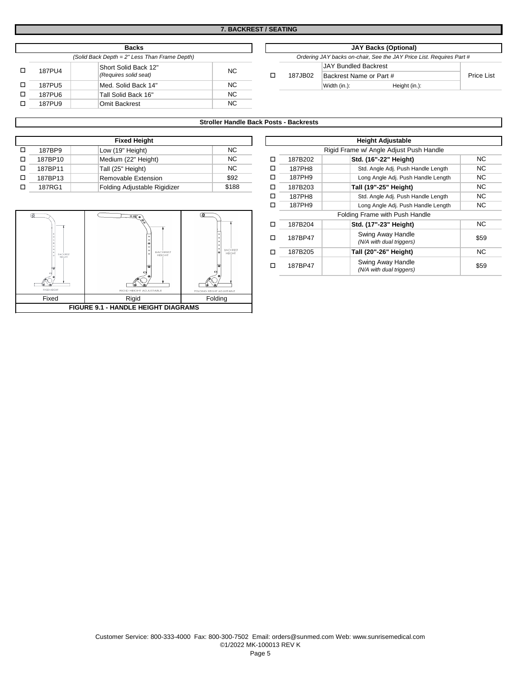|  | <b>Backs</b>                                  |                       |           |  |  |                                                  |                             | <b>JAY Backs (Optional)</b> |  |
|--|-----------------------------------------------|-----------------------|-----------|--|--|--------------------------------------------------|-----------------------------|-----------------------------|--|
|  | (Solid Back Depth = 2" Less Than Frame Depth) |                       |           |  |  | Ordering JAY backs on-chair, See the JAY Price L |                             |                             |  |
|  | 187PU4                                        | Short Solid Back 12"  | NC.       |  |  |                                                  | <b>JAY Bundled Backrest</b> |                             |  |
|  |                                               | (Requires solid seat) |           |  |  | 187JB02                                          | Backrest Name or Part #     |                             |  |
|  | 187PU5                                        | Med. Solid Back 14"   | NC.       |  |  |                                                  | Width (in.):                | Height (in.):               |  |
|  | 187PU6                                        | Tall Solid Back 16"   | NC.       |  |  |                                                  |                             |                             |  |
|  | 187PU9                                        | Omit Backrest         | <b>NC</b> |  |  |                                                  |                             |                             |  |

| <b>Backs</b>                                  |                       |          |  |                                                                      |                         | <b>JAY Backs (Optional)</b> |                   |  |  |
|-----------------------------------------------|-----------------------|----------|--|----------------------------------------------------------------------|-------------------------|-----------------------------|-------------------|--|--|
| (Solid Back Depth = 2" Less Than Frame Depth) |                       |          |  | Ordering JAY backs on-chair, See the JAY Price List. Requires Part # |                         |                             |                   |  |  |
|                                               | Short Solid Back 12"  |          |  |                                                                      | JAY Bundled Backrest    |                             |                   |  |  |
|                                               | (Requires solid seat) | NC.      |  | 187JB02                                                              | Backrest Name or Part # |                             | <b>Price List</b> |  |  |
|                                               | Med. Solid Back 14"   | NC.      |  |                                                                      | Width (in.):            | Height (in.):               |                   |  |  |
|                                               | _ . _ _               | $\cdots$ |  |                                                                      |                         |                             |                   |  |  |

## **Stroller Handle Back Posts - Backrests**

|         | <b>Fixed Height</b>          |       |  |         | <b>Height Adjustable</b>                |
|---------|------------------------------|-------|--|---------|-----------------------------------------|
| 187BP9  | Low (19" Height)             | NC.   |  |         | Rigid Frame w/ Angle Adjust Push Handle |
| 187BP10 | Medium (22" Height)          | NC.   |  | 187B202 | Std. (16"-22" Height)                   |
| 187BP11 | Tall (25" Height)            | NC.   |  | 187PH8  | Std. Angle Adj. Push Handle Leng        |
| 187BP13 | Removable Extension          | \$92  |  | 187PH9  | Long Angle Adj. Push Handle Len         |
| 187RG1  | Folding Adjustable Rigidizer | \$188 |  | 187B203 | Tall (19"-25" Height)                   |



|                           | <b>Fixed Height</b>              |                           | <b>Height Adjustable</b> |                                         |                                               |      |  |  |
|---------------------------|----------------------------------|---------------------------|--------------------------|-----------------------------------------|-----------------------------------------------|------|--|--|
| 187BP9                    | Low (19" Height)                 | NC.                       |                          | Rigid Frame w/ Angle Adjust Push Handle |                                               |      |  |  |
| 187BP10                   | Medium (22" Height)              | NC.                       |                          | 187B202                                 | Std. (16"-22" Height)                         | NC.  |  |  |
| 187BP11                   | Tall (25" Height)                | NC.                       | □                        | 187PH8                                  | Std. Angle Adj. Push Handle Length            | NC   |  |  |
| 187BP13                   | Removable Extension              | \$92                      | □                        | 187PH9                                  | Long Angle Adj. Push Handle Length            | NC.  |  |  |
| 187RG1                    | Folding Adjustable Rigidizer     | \$188                     | □                        | 187B203                                 | Tall (19"-25" Height)                         | NC.  |  |  |
|                           |                                  |                           |                          | 187PH8                                  | Std. Angle Adj. Push Handle Length            | NC.  |  |  |
|                           |                                  |                           | ◻                        | 187PH9                                  | Long Angle Adj. Push Handle Length            | NC   |  |  |
|                           |                                  | Φ                         |                          |                                         | Folding Frame with Push Handle                |      |  |  |
|                           |                                  |                           | □                        | 187B204                                 | Std. (17"-23" Height)                         | NC.  |  |  |
|                           |                                  |                           | п                        | 187BP47                                 | Swing Away Handle<br>(N/A with dual triggers) | \$59 |  |  |
| <b>BACKREST</b><br>HEIGHT | <b>BACKREST</b><br><b>HEIGHT</b> | BACKREST<br><b>HEIGHT</b> |                          | 187B205                                 | Tall (20"-26" Height)                         | NC.  |  |  |
|                           |                                  |                           |                          | 187BP47                                 | Swing Away Handle<br>(N/A with dual triggers) | \$59 |  |  |

#### Customer Service: 800-333-4000 Fax: 800-300-7502 Email: orders@sunmed.com Web: www.sunrisemedical.com ©1/2022 MK-100013 REV K Page 5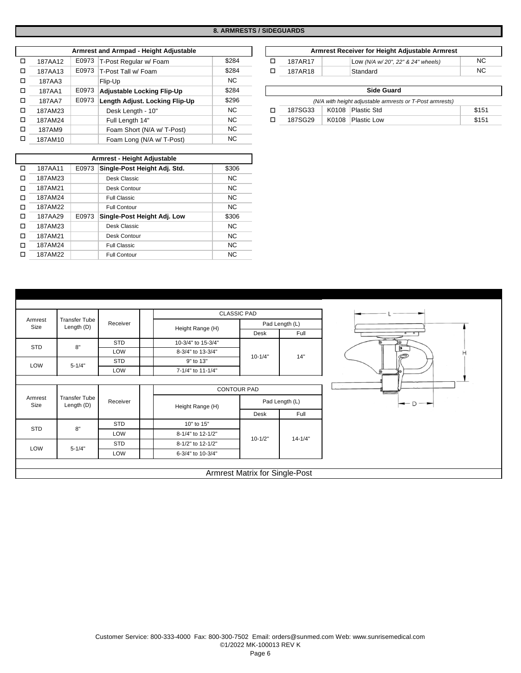## **8. ARMRESTS / SIDEGUARDS**

|        |         |       | Armrest and Armpad - Height Adjustable |       |                   |         |       | Armrest Receiver for Height Adjustable Armres            |  |
|--------|---------|-------|----------------------------------------|-------|-------------------|---------|-------|----------------------------------------------------------|--|
| □      | 187AA12 |       | E0973   T-Post Regular w/ Foam         | \$284 | □                 | 187AR17 |       | Low (N/A w/20", 22" & 24" wheels)                        |  |
| □      | 187AA13 |       | E0973   T-Post Tall w/ Foam            | \$284 | ◻                 | 187AR18 |       | Standard                                                 |  |
| □      | 187AA3  |       | Flip-Up                                | NC.   |                   |         |       |                                                          |  |
| $\Box$ | 187AA1  | E0973 | Adjustable Locking Flip-Up             | \$284 | <b>Side Guard</b> |         |       |                                                          |  |
| $\Box$ | 187AA7  | E0973 | Length Adjust. Locking Flip-Up         | \$296 |                   |         |       | (N/A with height adjustable armrests or T-Post armrests) |  |
| $\Box$ | 187AM23 |       | Desk Length - 10"                      | NC.   |                   | 187SG33 | K0108 | Plastic Std                                              |  |
| □      | 187AM24 |       | Full Length 14"                        | NC.   |                   | 187SG29 | K0108 | <b>Plastic Low</b>                                       |  |
| $\Box$ | 187AM9  |       | Foam Short (N/A w/ T-Post)             | NC.   |                   |         |       |                                                          |  |
| □      | 187AM10 |       | Foam Long (N/A w/ T-Post)              | NC.   |                   |         |       |                                                          |  |

|   |         |       | Armrest - Height Adjustable  |           |
|---|---------|-------|------------------------------|-----------|
| п | 187AA11 | E0973 | Single-Post Height Adj. Std. | \$306     |
| п | 187AM23 |       | Desk Classic                 | <b>NC</b> |
| п | 187AM21 |       | Desk Contour                 | <b>NC</b> |
| п | 187AM24 |       | <b>Full Classic</b>          | <b>NC</b> |
| п | 187AM22 |       | <b>Full Contour</b>          | <b>NC</b> |
| п | 187AA29 | E0973 | Single-Post Height Adj. Low  | \$306     |
| п | 187AM23 |       | Desk Classic                 | <b>NC</b> |
| п | 187AM21 |       | Desk Contour                 | <b>NC</b> |
| п | 187AM24 |       | Full Classic                 | <b>NC</b> |
| п | 187AM22 |       | <b>Full Contour</b>          | <b>NC</b> |

| Armrest and Armpad - Height Adjustable |  |                              |       |  |  |         | Armrest Receiver for Height Adjustable Armrest |    |
|----------------------------------------|--|------------------------------|-------|--|--|---------|------------------------------------------------|----|
| 187AA12                                |  | E0973 T-Post Regular w/ Foam | \$284 |  |  | 187AR17 | Low (N/A w/20", 22" & 24" wheels)              | NC |
| 187AA13                                |  | E0973 T-Post Tall w/ Foam    | \$284 |  |  | 187AR18 | Standard                                       | NC |

| 187AA1  | <b>E0973</b> Adjustable Locking Flip-Up     | \$284 |                                                          |       | <b>Side Guard</b>  |       |  |  |
|---------|---------------------------------------------|-------|----------------------------------------------------------|-------|--------------------|-------|--|--|
| 187AA7  | <b>E0973</b> Length Adjust. Locking Flip-Up | \$296 | (N/A with height adjustable armrests or T-Post armrests) |       |                    |       |  |  |
| 187AM23 | Desk Length - 10"                           | ΝC    | 187SG33                                                  | K0108 | Plastic Std        | \$151 |  |  |
| 187AM24 | Full Length 14"                             | ΝC    | 187SG29                                                  | K0108 | <b>Plastic Low</b> | \$151 |  |  |
|         |                                             |       |                                                          |       |                    |       |  |  |

|                 |                                    |            |                    | <b>CLASSIC PAD</b>                    |                |  |
|-----------------|------------------------------------|------------|--------------------|---------------------------------------|----------------|--|
| Armrest         | <b>Transfer Tube</b>               | Receiver   |                    |                                       | Pad Length (L) |  |
| Size            | Length (D)                         |            | Height Range (H)   | Desk                                  | Full           |  |
| STD             | 8"                                 | <b>STD</b> | 10-3/4" to 15-3/4" |                                       |                |  |
|                 |                                    | LOW        | 8-3/4" to 13-3/4"  | $10 - 1/4"$                           | 14"            |  |
| LOW             | $5 - 1/4"$                         | <b>STD</b> | 9" to 13"          |                                       |                |  |
|                 |                                    | LOW        | 7-1/4" to 11-1/4"  |                                       |                |  |
|                 | <b>CONTOUR PAD</b>                 |            |                    |                                       |                |  |
| Armrest<br>Size | <b>Transfer Tube</b><br>Length (D) | Receiver   | Height Range (H)   |                                       | Pad Length (L) |  |
|                 |                                    |            |                    | Desk                                  | Full           |  |
|                 | 8"                                 | <b>STD</b> | 10" to 15"         |                                       |                |  |
| STD             |                                    | LOW        | 8-1/4" to 12-1/2"  |                                       | $14 - 1/4"$    |  |
| LOW             | $5 - 1/4"$                         | <b>STD</b> | 8-1/2" to 12-1/2"  | $10 - 1/2"$                           |                |  |
|                 |                                    | LOW        | 6-3/4" to 10-3/4"  |                                       |                |  |
|                 |                                    |            |                    |                                       |                |  |
|                 |                                    |            |                    | <b>Armrest Matrix for Single-Post</b> |                |  |